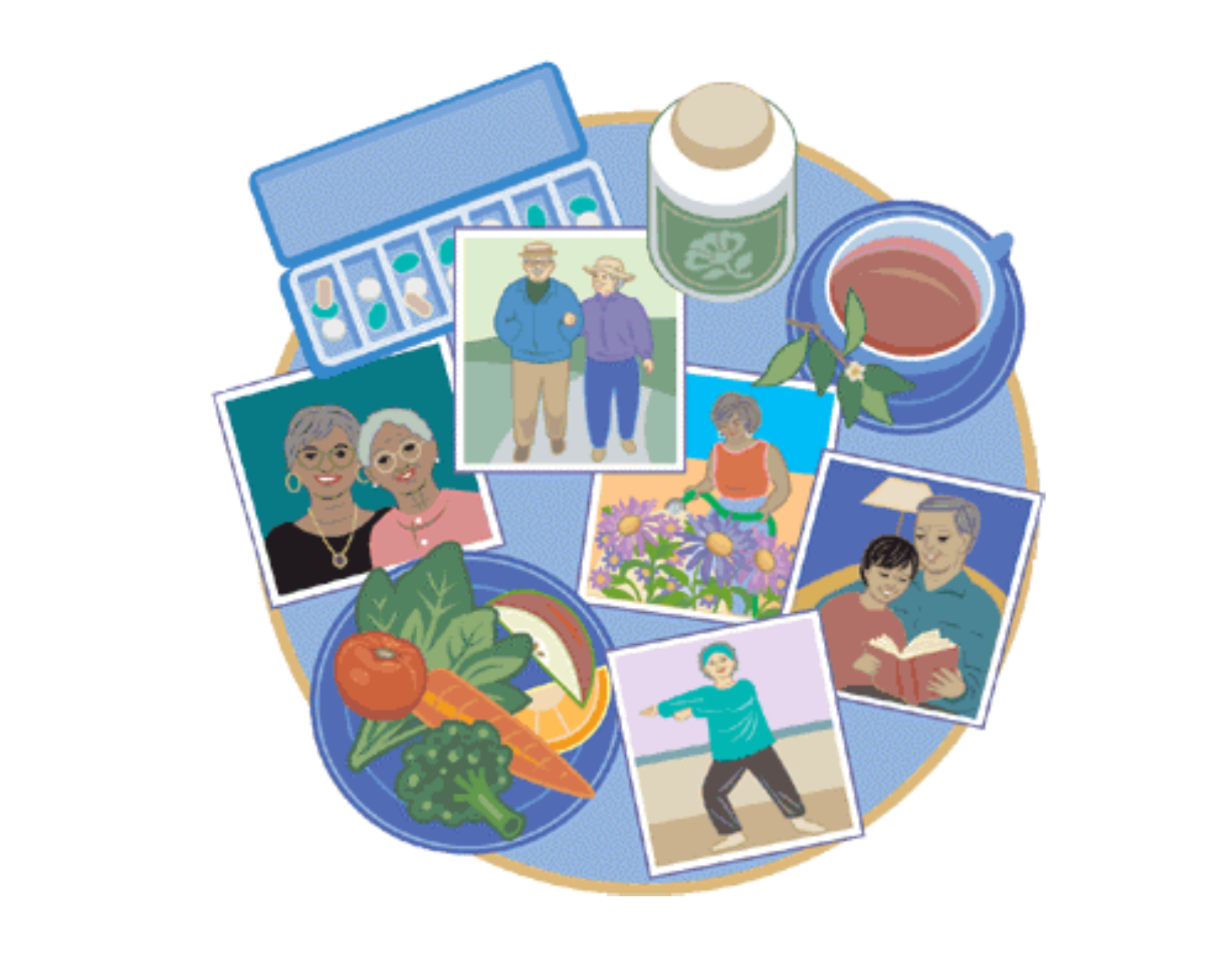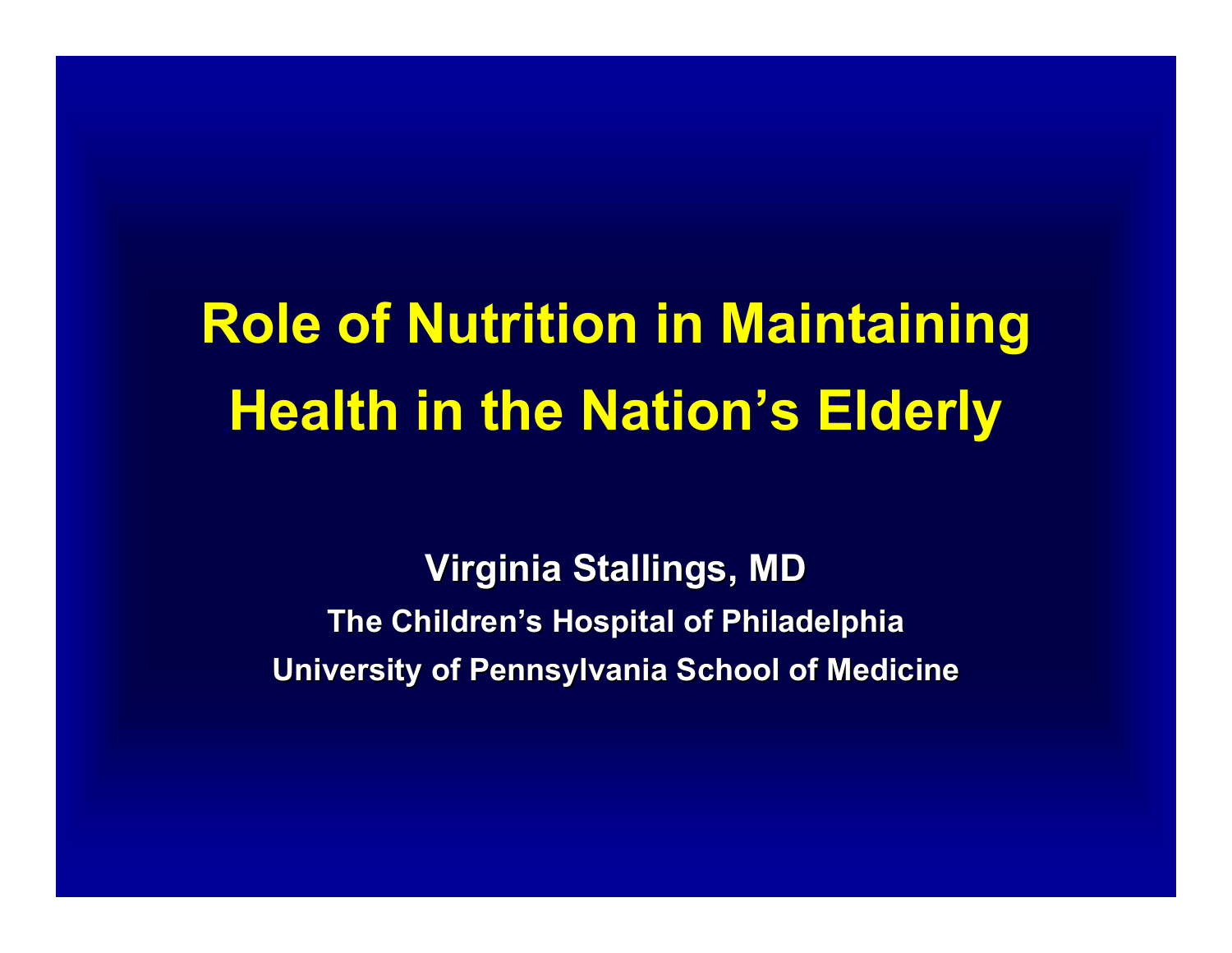# **Role of Nutrition in Maintaining Health in the Nation's Elderly**

**Virginia Stallings, MD Virginia Stallings, MD The Children's Hospital of Philadelphia University of Pennsylvania School of Medicine University of Pennsylvania School of Medicine**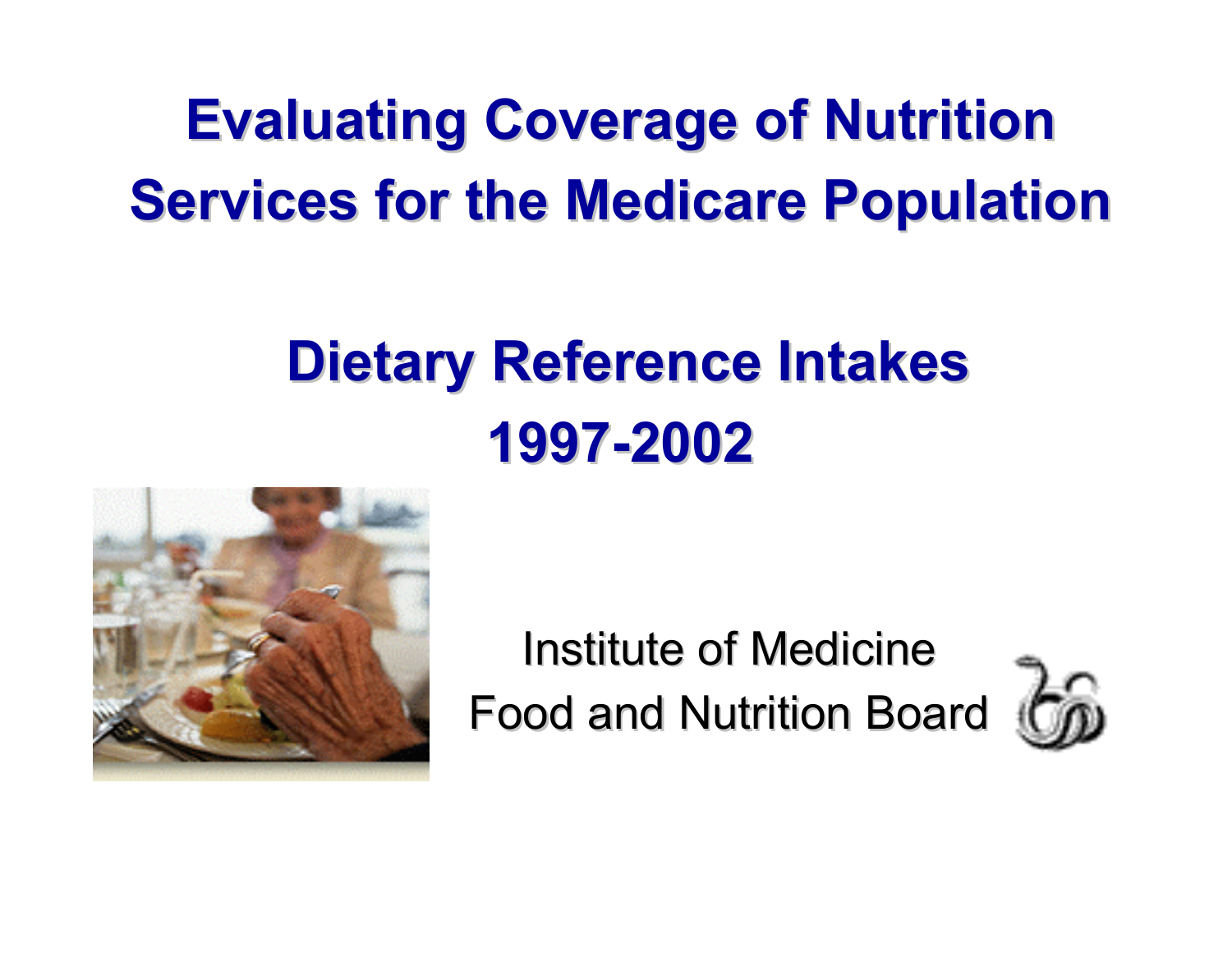# **Evaluating Coverage of Nutrition Evaluating Coverage of Nutrition Services for the Medicare Population**

## **Dietary Reference Intakes Dietary Reference Intakes 1997-2002**



#### Institute of Medicine Food and Nutrition Board

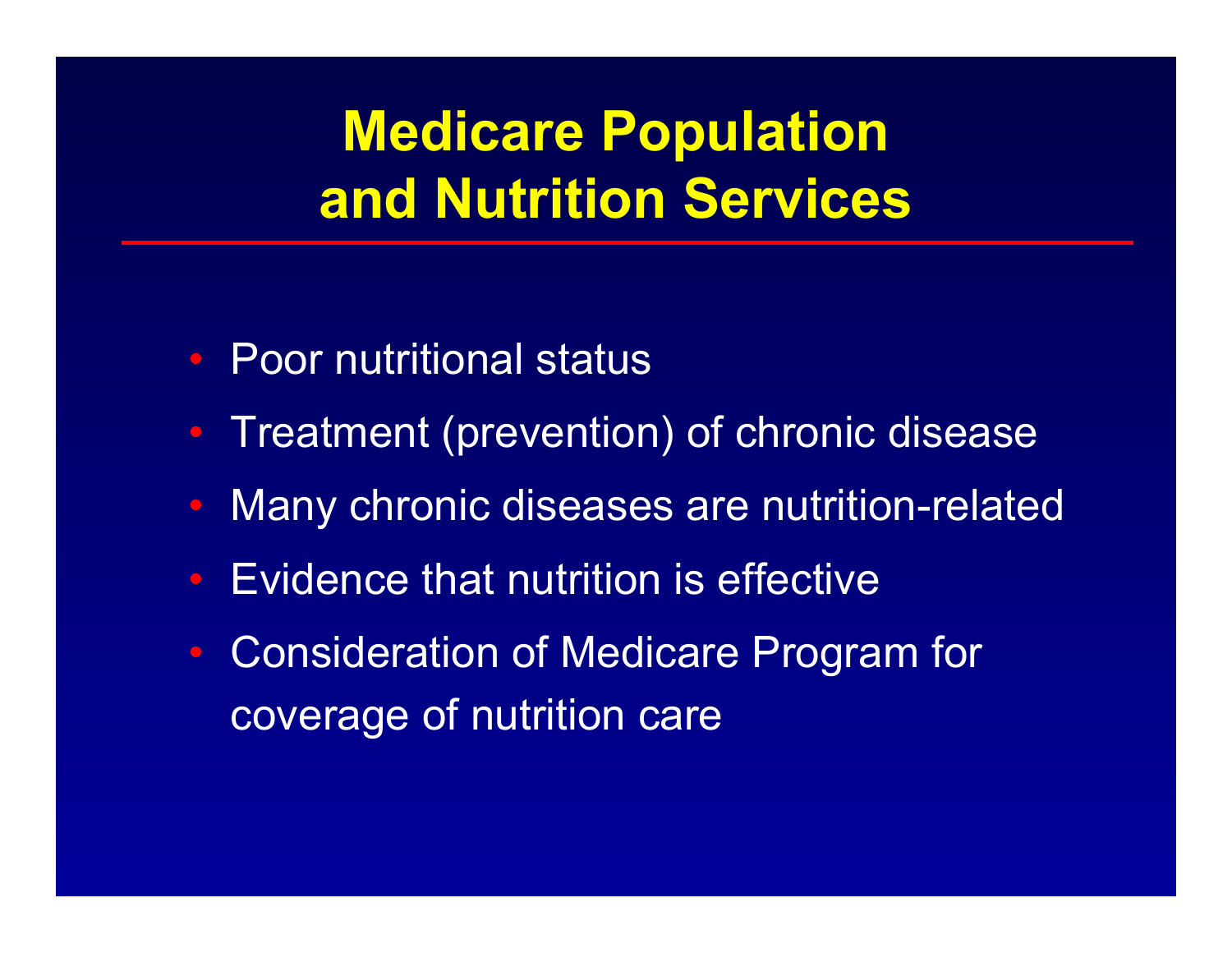## **Medicare Population and Nutrition Services**

- Poor nutritional status
- $\bigcirc$ Treatment (prevention) of chronic disease
- Many chronic diseases are nutrition-related
- Evidence that nutrition is effective
- Consideration of Medicare Program for coverage of nutrition care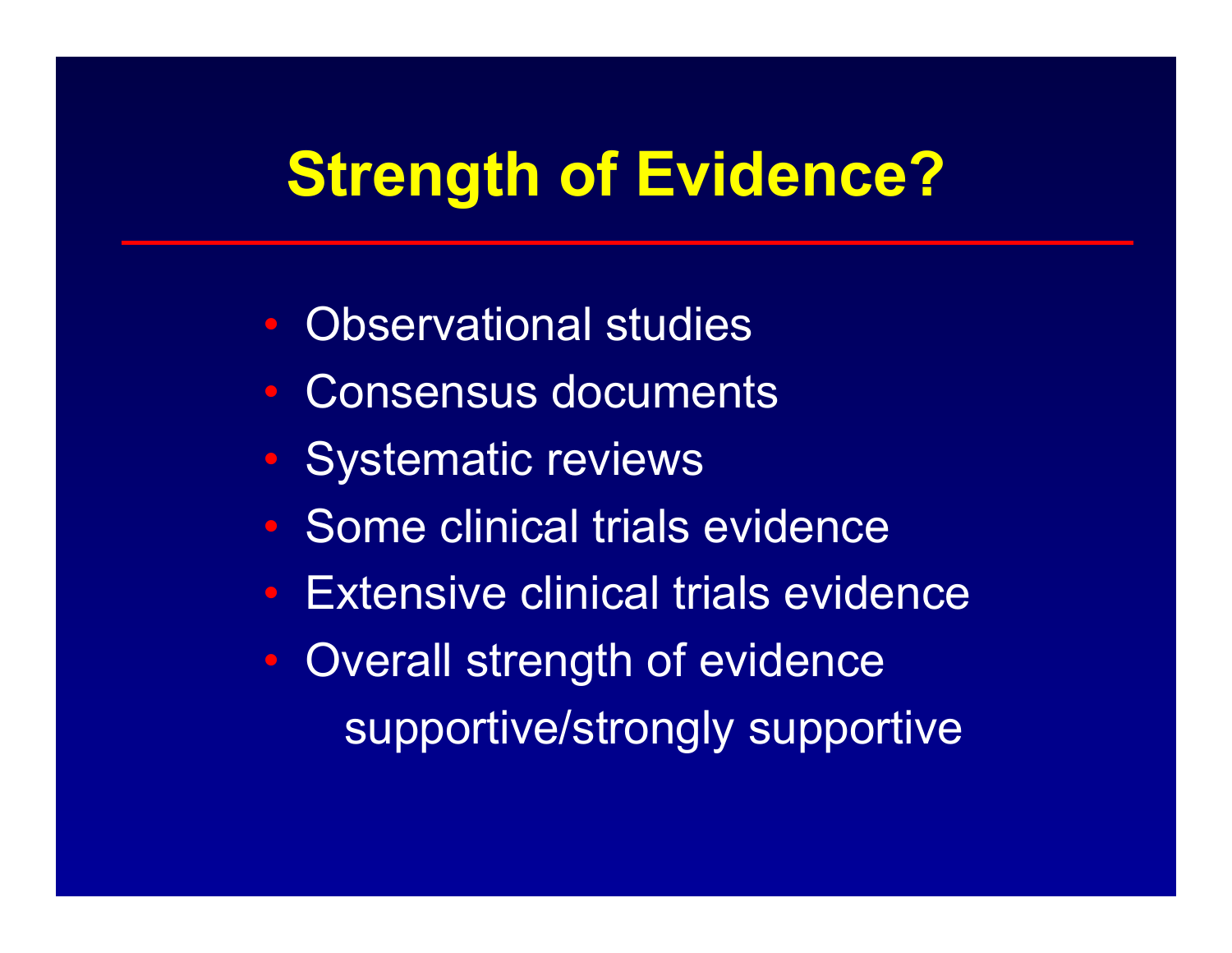## **Strength of Evidence?**

- Observational studies
- Consensus documents
- Systematic reviews
- Some clinical trials evidence
- Extensive clinical trials evidence
- Overall strength of evidence supportive/strongly supportive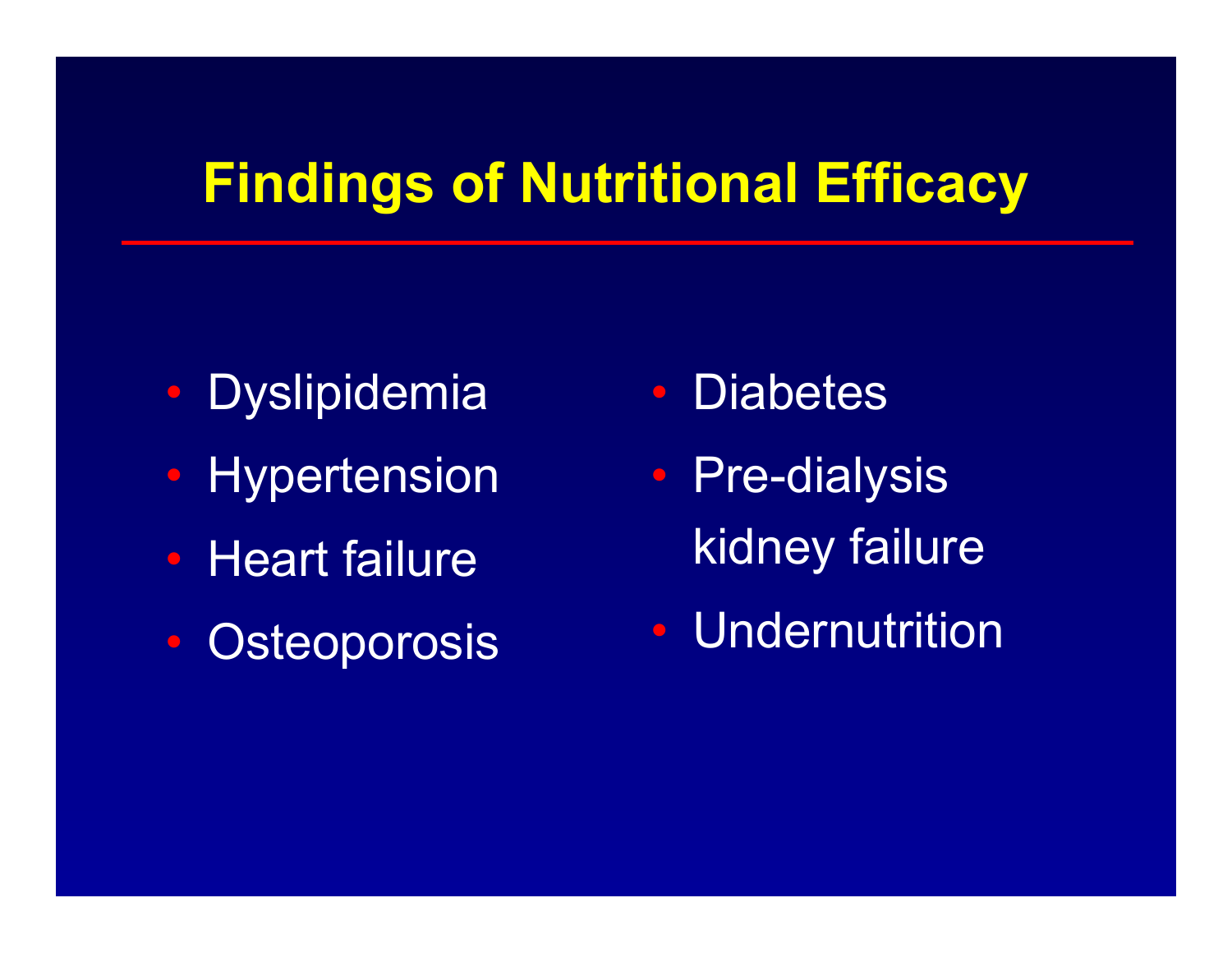## **Findings of Nutritional Efficacy**

- Dyslipidemia
- Hypertension
- Heart failure
- **Osteoporosis**
- **Diabetes**
- Pre-dialysis
	- kidney failure
- Undernutrition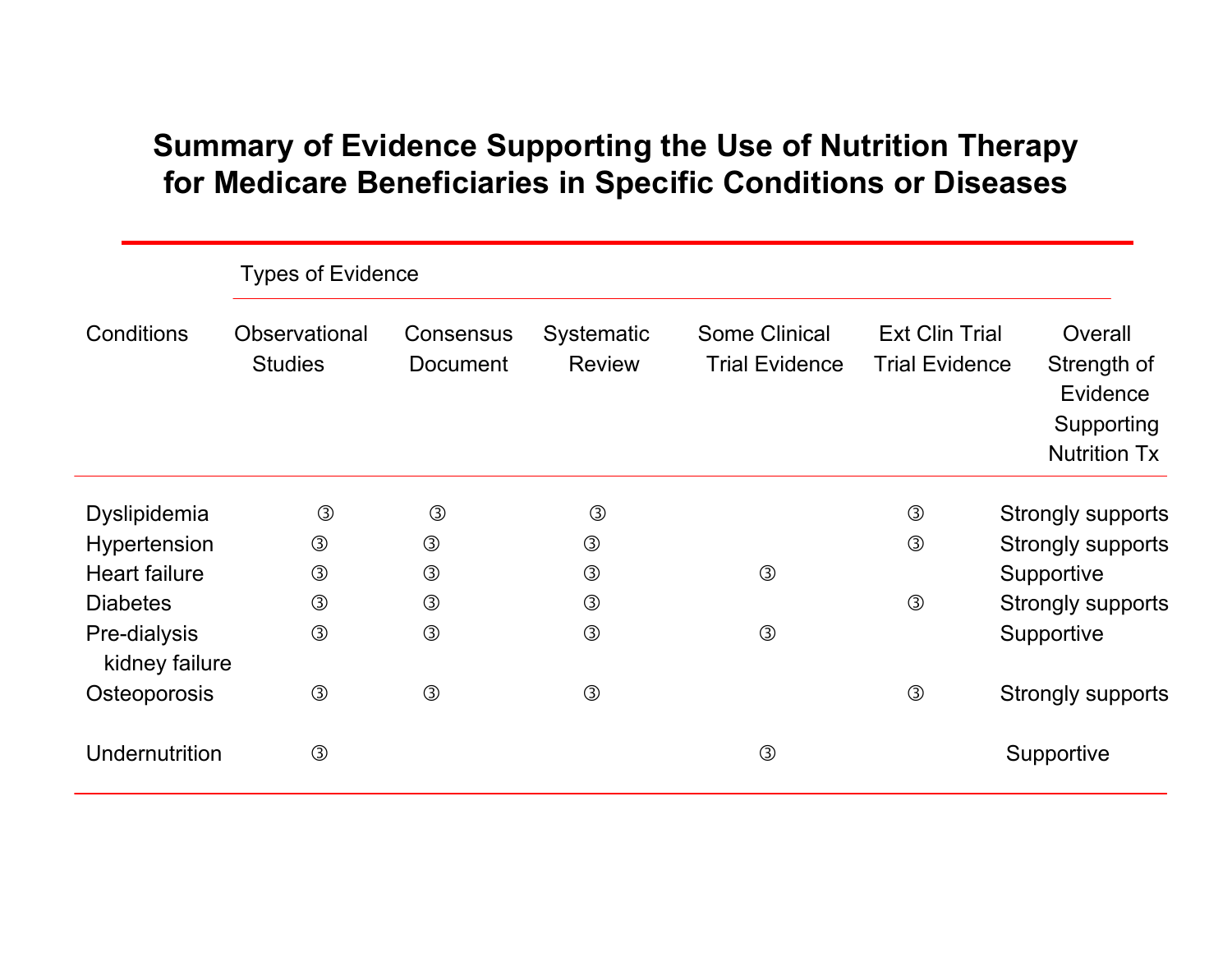#### **Summary of Evidence Supporting the Use of Nutrition Therapy for Medicare Beneficiaries in Specific Conditions or Diseases**

| Conditions                     | <b>Types of Evidence</b>        |                              |                                    |                                               |                                                |                                                                         |
|--------------------------------|---------------------------------|------------------------------|------------------------------------|-----------------------------------------------|------------------------------------------------|-------------------------------------------------------------------------|
|                                | Observational<br><b>Studies</b> | Consensus<br><b>Document</b> | <b>Systematic</b><br><b>Review</b> | <b>Some Clinical</b><br><b>Trial Evidence</b> | <b>Ext Clin Trial</b><br><b>Trial Evidence</b> | Overall<br>Strength of<br>Evidence<br>Supporting<br><b>Nutrition Tx</b> |
| <b>Dyslipidemia</b>            | $\circled{3}$                   | $\circledS$                  | $\circledS$                        |                                               | $\circledS$                                    | <b>Strongly supports</b>                                                |
| Hypertension                   | $\circledS$                     | $\circledS$                  | $\circledS$                        |                                               | $\circled{3}$                                  | <b>Strongly supports</b>                                                |
| <b>Heart failure</b>           | $\circledS$                     | $\circledS$                  | $\circledS$                        | $\circledS$                                   |                                                | Supportive                                                              |
| <b>Diabetes</b>                | $\circledS$                     | $\circledS$                  | $\circled{3}$                      |                                               | $\circledS$                                    | <b>Strongly supports</b>                                                |
| Pre-dialysis<br>kidney failure | $\circledS$                     | $\circledS$                  | $\circledS$                        | $\circledS$                                   |                                                | Supportive                                                              |
| Osteoporosis                   | $\circledS$                     | $\circledS$                  | $\circledS$                        |                                               | $\circledS$                                    | <b>Strongly supports</b>                                                |
| Undernutrition                 | $\circled{3}$                   |                              |                                    | $\circled{3}$                                 |                                                | Supportive                                                              |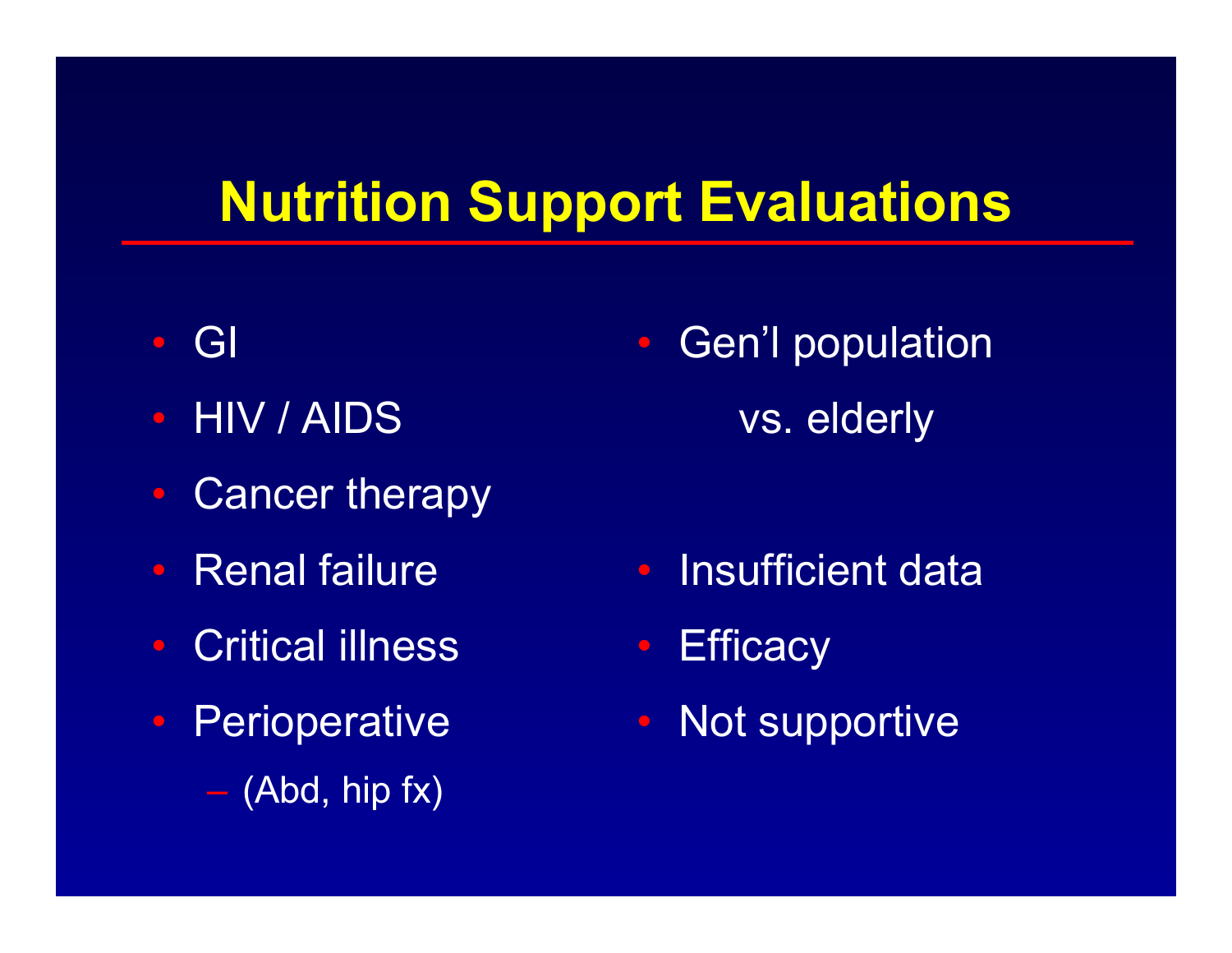## **Nutrition Support Evaluations**

- GI
- HIV / AIDS
- Cancer therapy
- Renal failure
- Critical illness
- **Perioperative** 
	- (Abd, hip fx)

 Gen'l population vs. elderly

- Insufficient data
- **Efficacy**
- $\bigcirc$ Not supportive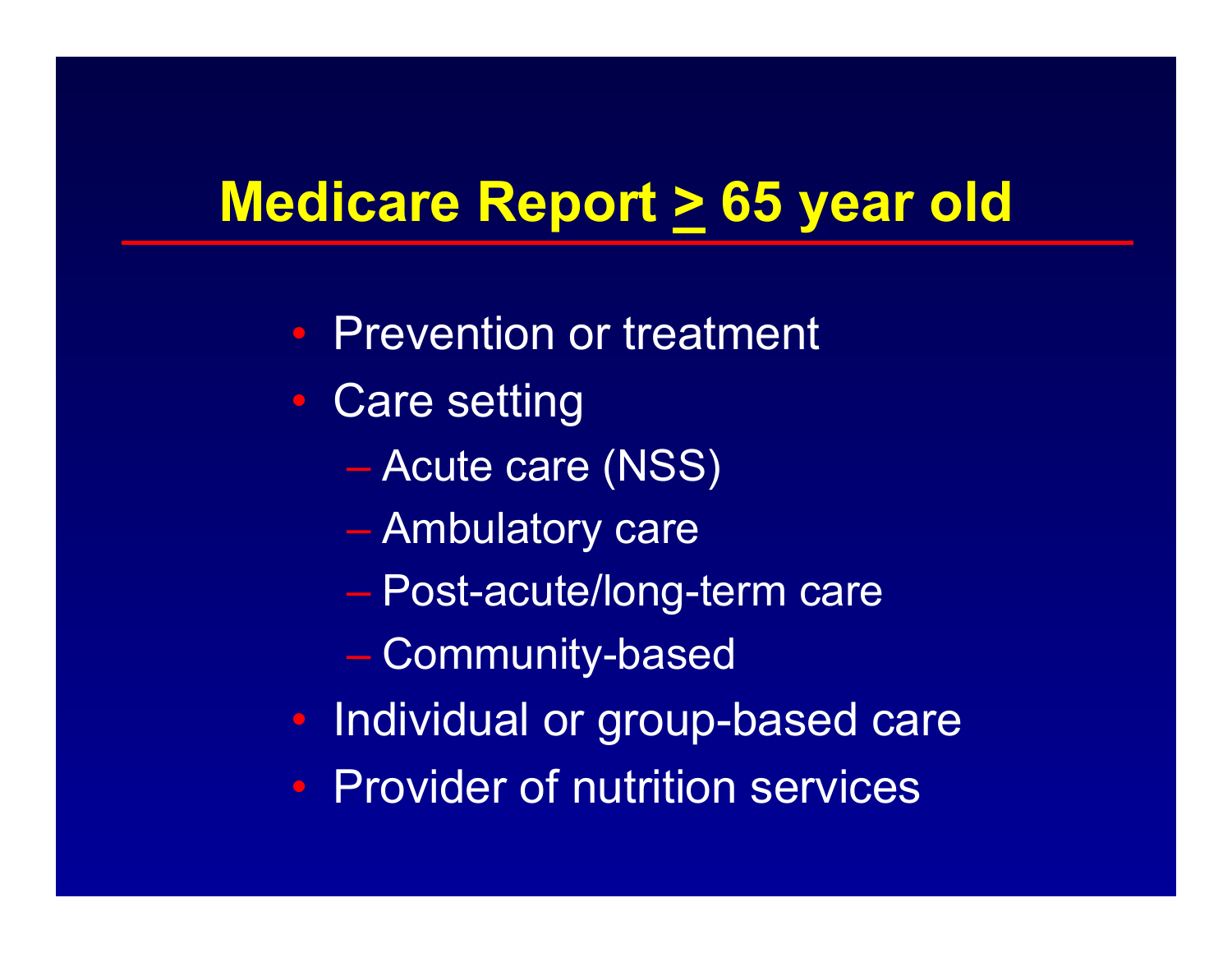## **Medicare Report > 65 year old**

- Prevention or treatment
- Care setting
	- Acute care (NSS)
	- Ambulatory care
	- Post-acute/long-term care
	- Community-based
- Individual or group-based care
- Provider of nutrition services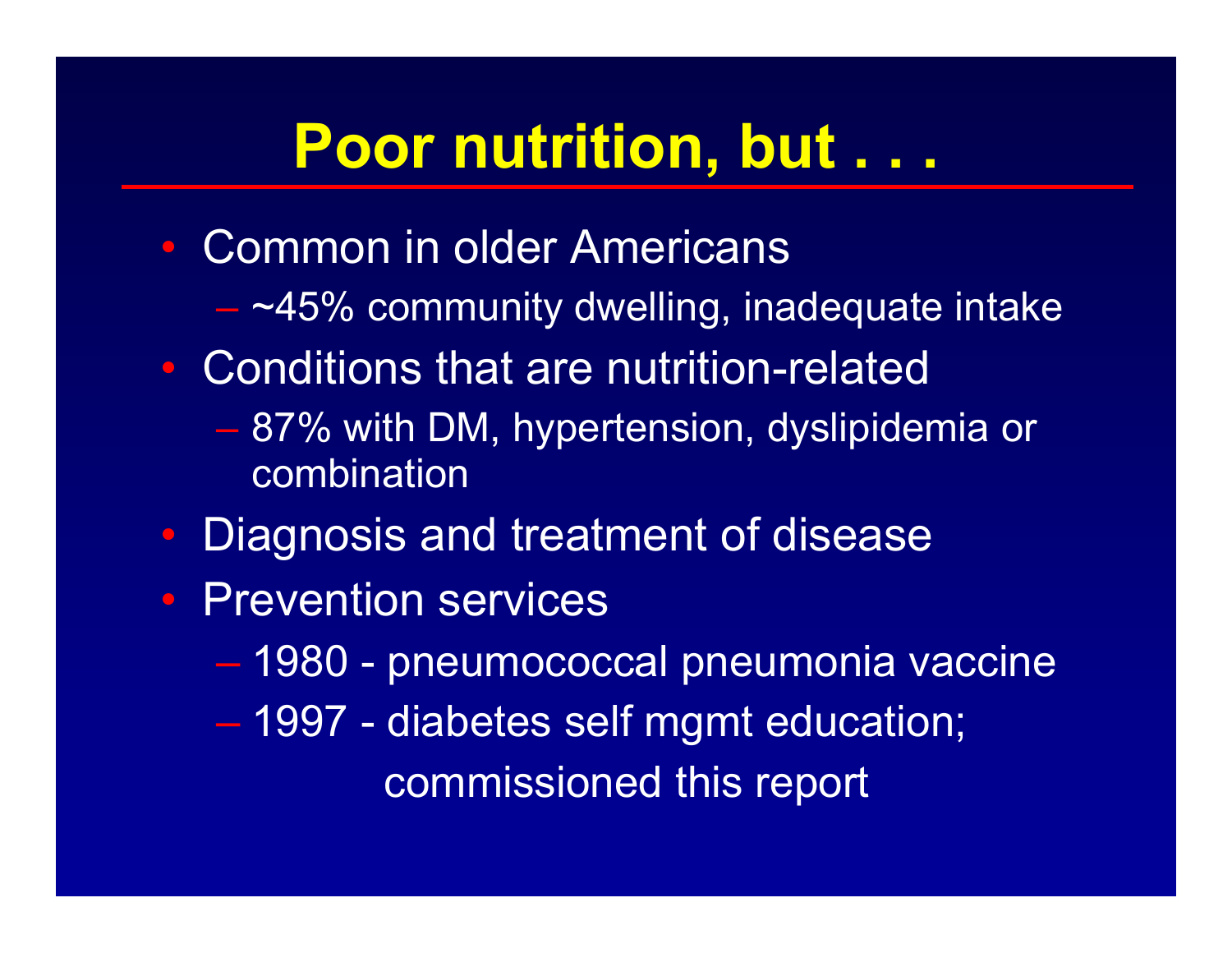## **Poor nutrition, but . . .**

- Common in older Americans
	- $-$  ~45% community dwelling, inadequate intake
- Conditions that are nutrition-related
	- 87% with DM, hypertension, dyslipidemia or combination
- $\Box$ Diagnosis and treatment of disease
- Prevention services
	- 1980 pneumococcal pneumonia vaccine
	- 1997 diabetes self mgmt education; commissioned this report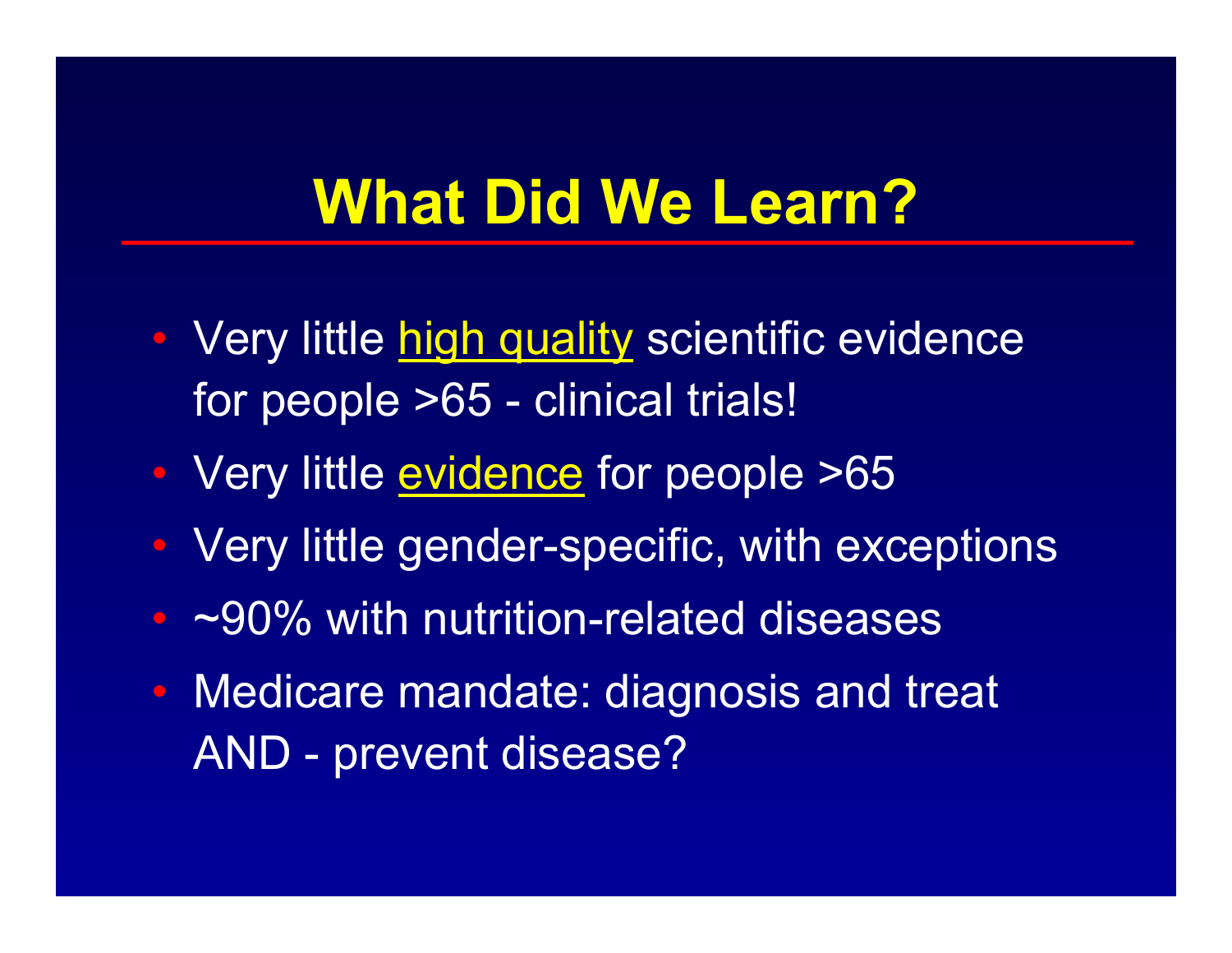## **What Did We Learn?**

- Very little high quality scientific evidence for people >65 - clinical trials!
- Very little <u>evidence</u> for people >65
- Very little gender-specific, with exceptions
- ~90% with nutrition-related diseases
- Medicare mandate: diagnosis and treat AND - prevent disease?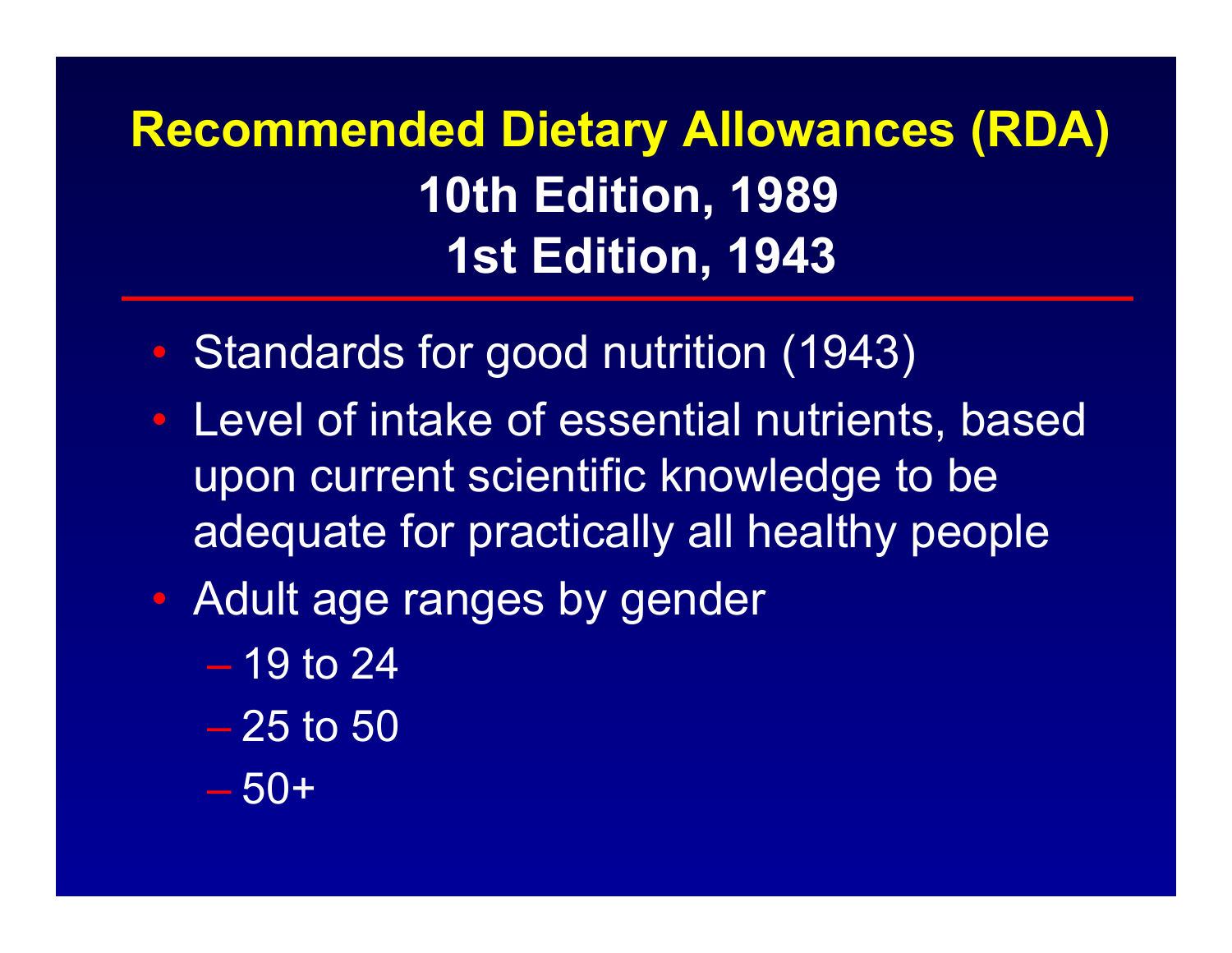## **Recommended Dietary Allowances (RDA) 10th Edition, 1989 1st Edition, 1943**

- Standards for good nutrition (1943)
- Level of intake of essential nutrients, based upon current scientific knowledge to be adequate for practically all healthy people
- Adult age ranges by gender
	- 19 to 24
	- 25 to 50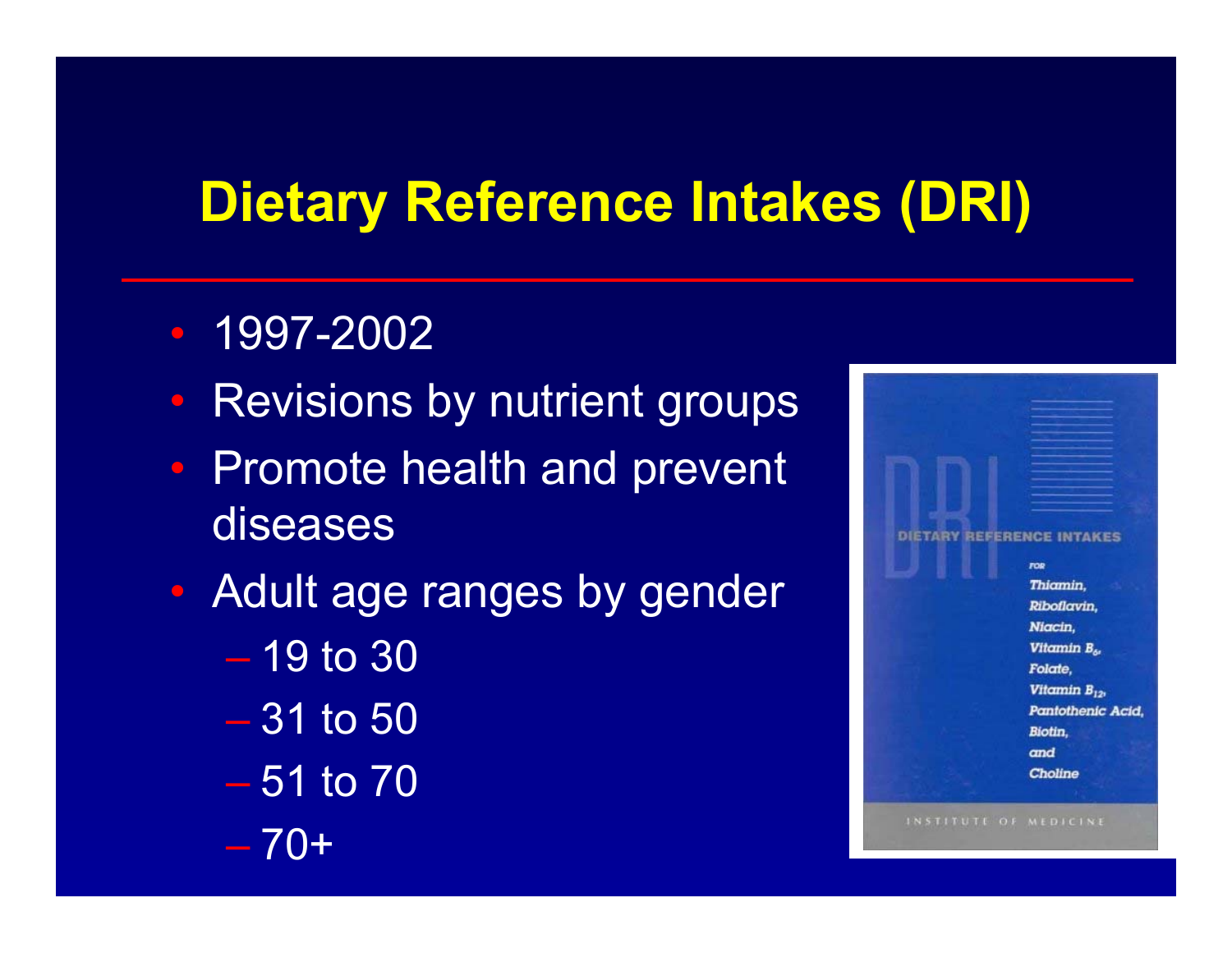## **Dietary Reference Intakes (DRI)**

- 1997-2002
- Revisions by nutrient groups
- Promote health and prevent diseases
- Adult age ranges by gender
	- 19 to 30
	- 31 to 50
	- 51 to 70
	- 70+

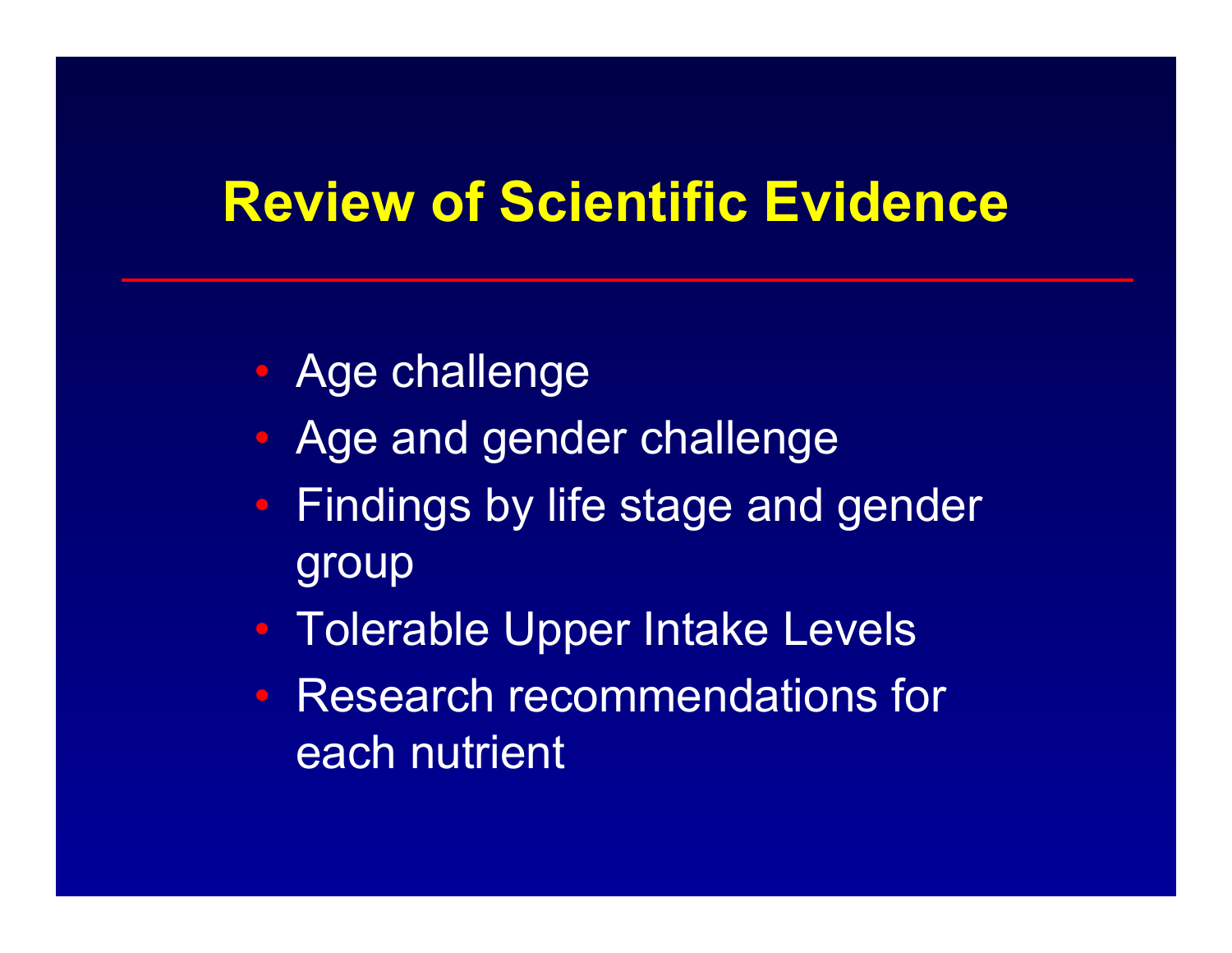#### **Review of Scientific Evidence**

- Age challenge
- Age and gender challenge
- Findings by life stage and gender group
- Tolerable Upper Intake Levels
- Research recommendations for each nutrient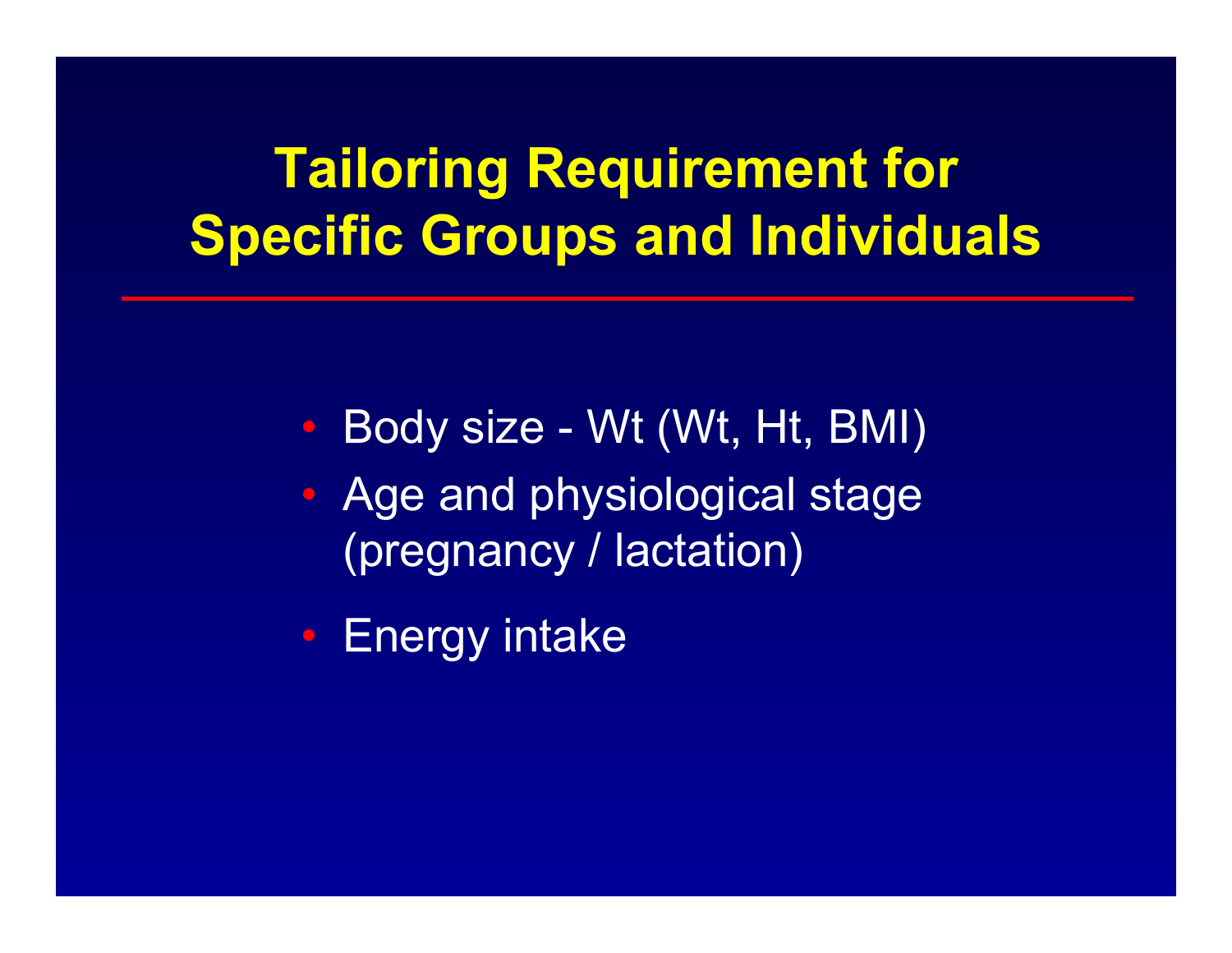## **Tailoring Requirement for Specific Groups and Individuals**

- Body size Wt (Wt, Ht, BMI)
- Age and physiological stage (pregnancy / lactation)
- Energy intake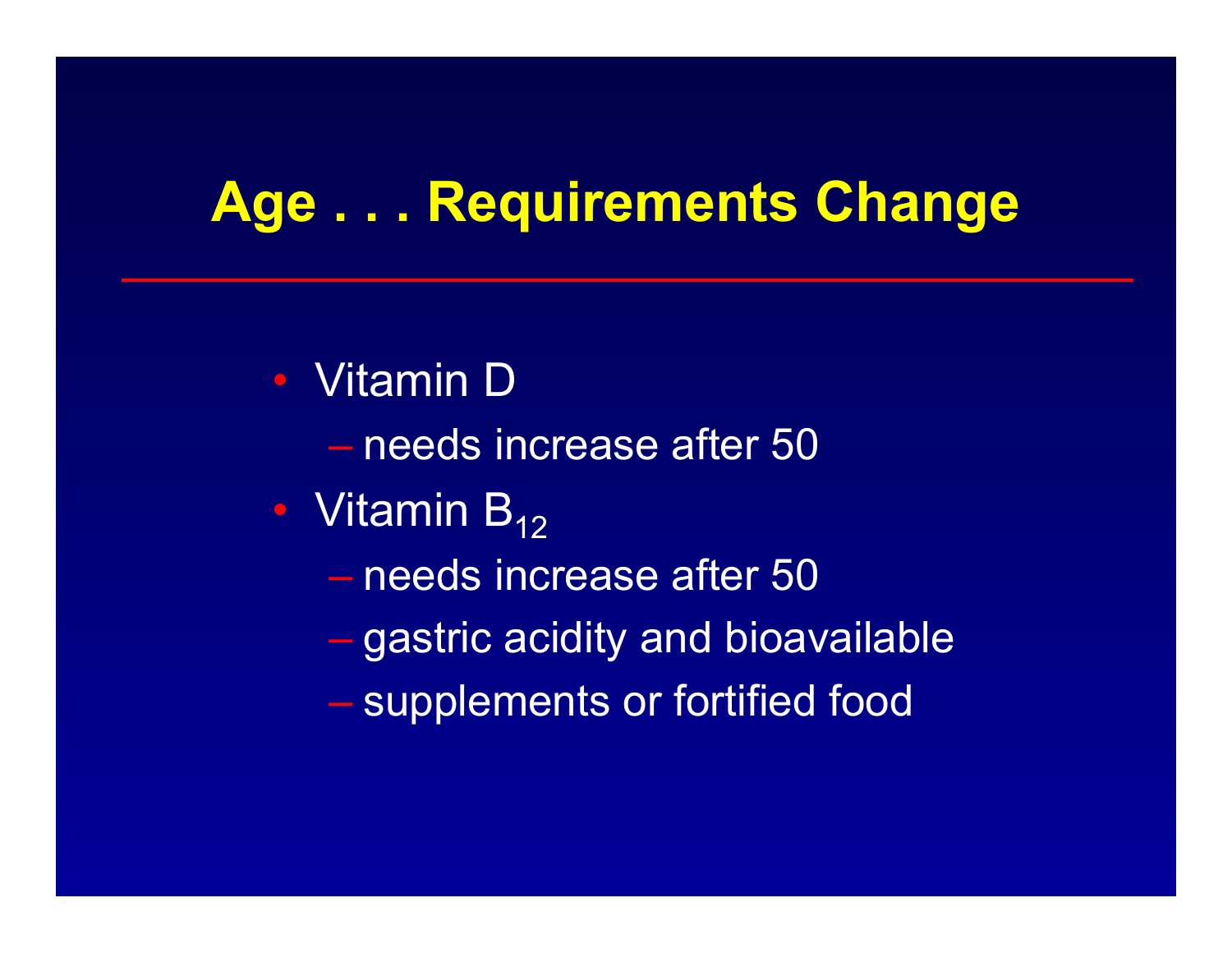## **Age . . . Requirements Change**

- Vitamin D
	- needs increase after 50
- Vitamin B $_{\rm 12}$ 
	- needs increase after 50
	- gastric acidity and bioavailable
	- supplements or fortified food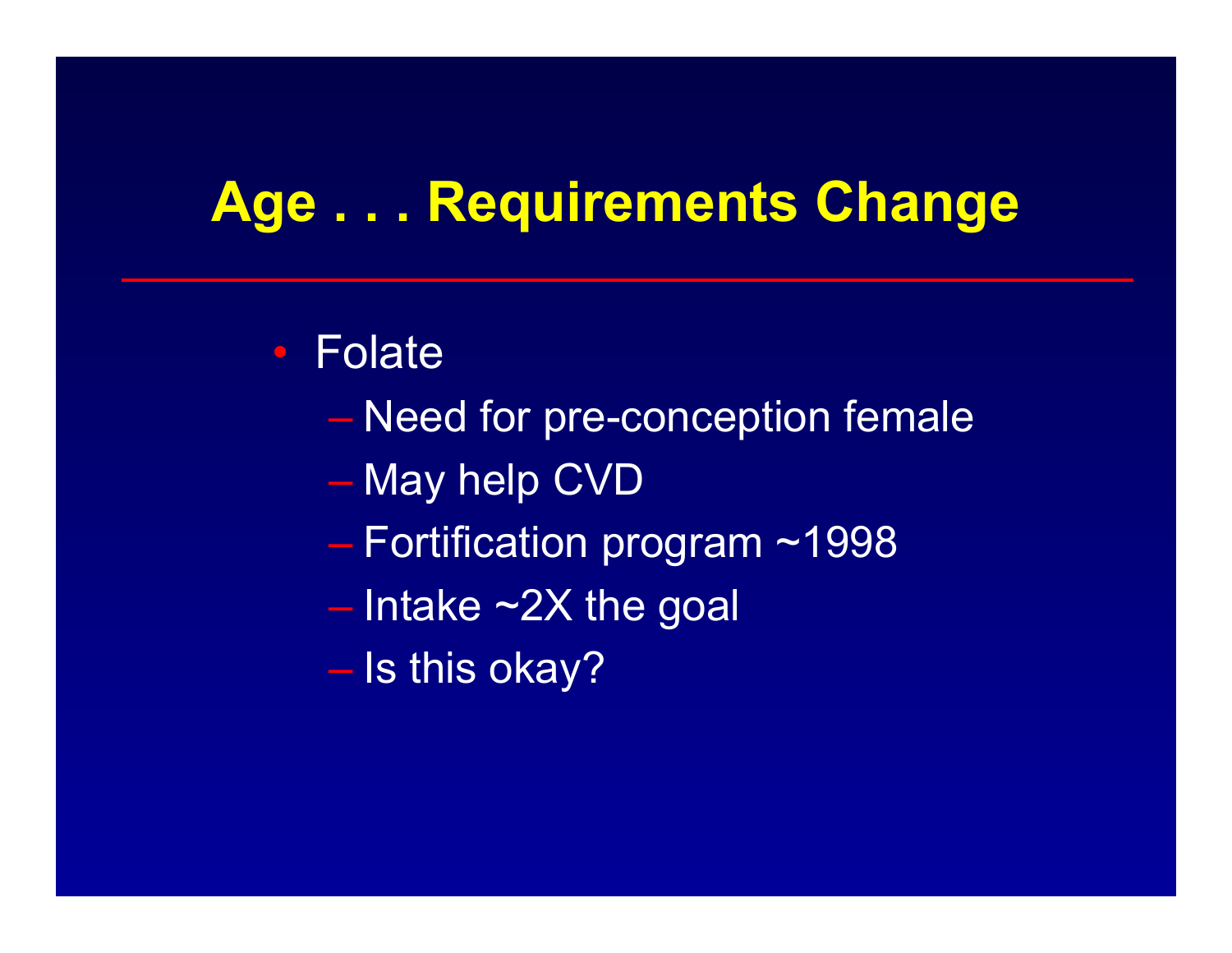### **Age . . . Requirements Change**

#### • Folate

- Need for pre-conception female
- May help CVD
- Fortification program ~1998
- Intake  ${\sim}2\textrm{X}$  the goal
- Is this okay?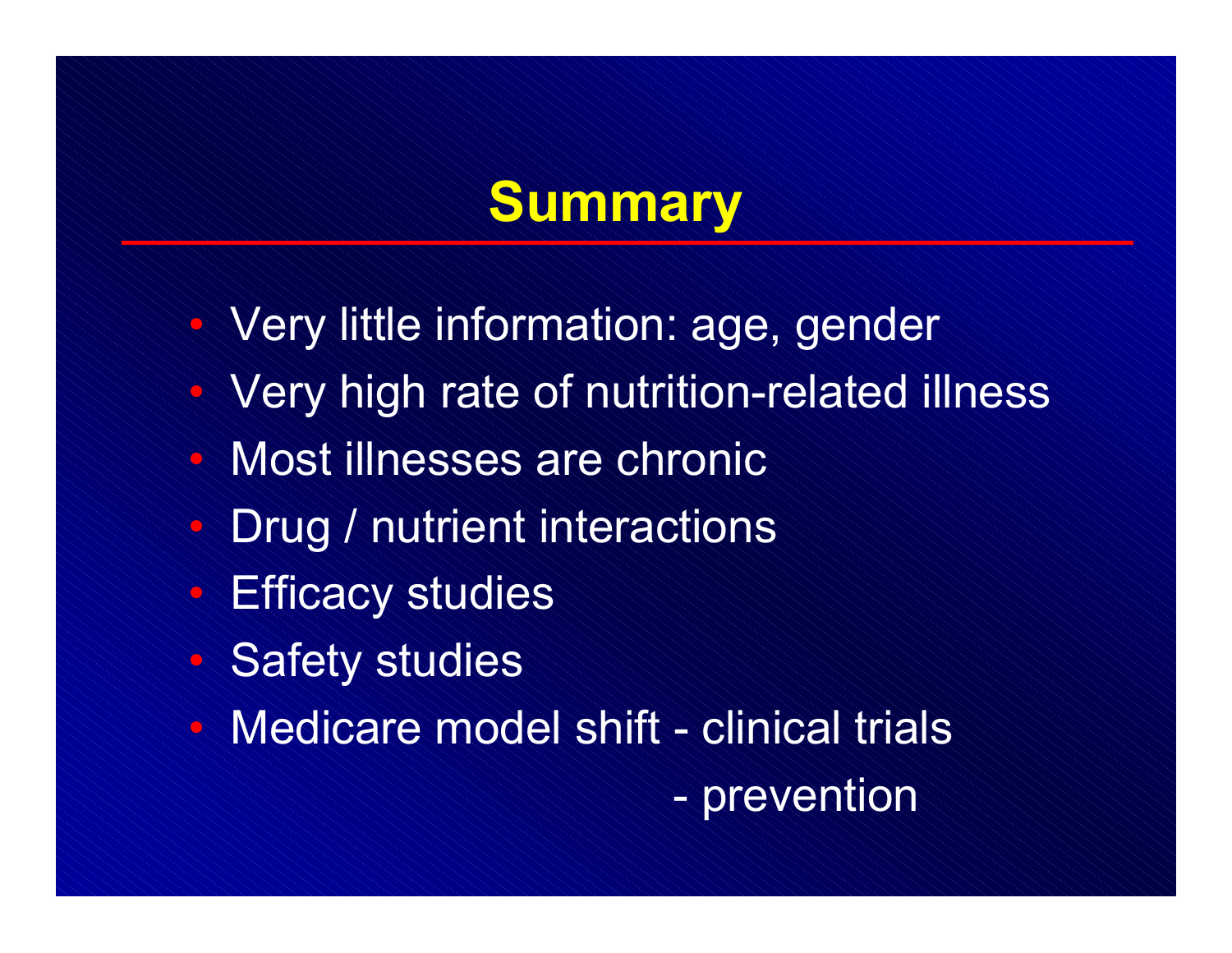### **Summary**

• Very little information: age, gender • Very high rate of nutrition-related illness Most illnesses are chronic Drug / nutrient interactions Efficacy studies Safety studies • Medicare model shift - clinical trials prevention

 $\Box$ 

 $\Box$ 

 $\Box$ 

 $\Box$ 

 $\Box$